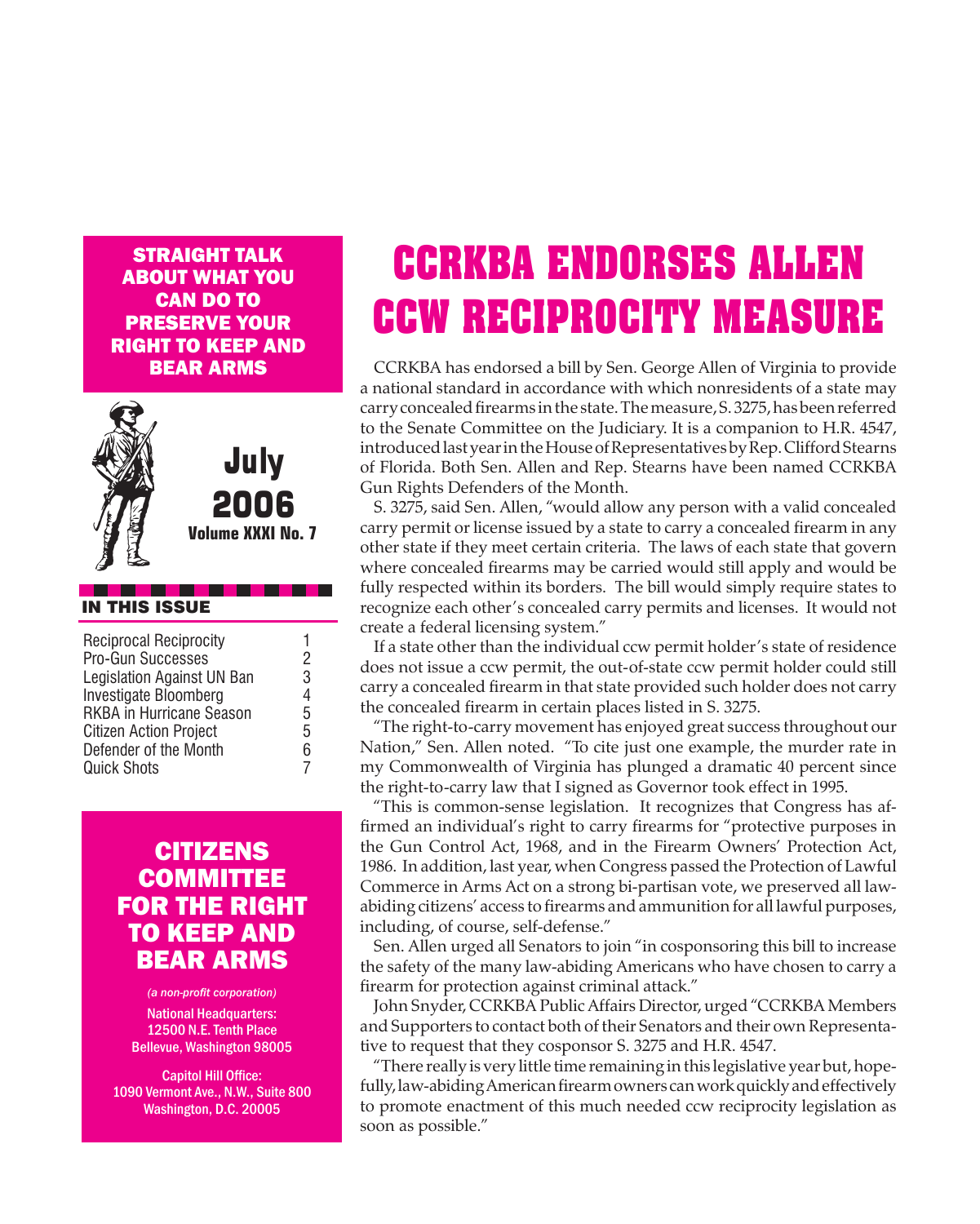Straight Talk about what you **CAN DO TO** preserve your right to keep and bear arms



July 2006

**Volume XXXI No. 7**

#### IN THIS ISSUE

| <b>Reciprocal Reciprocity</b>   |   |
|---------------------------------|---|
| Pro-Gun Successes               | 2 |
| Legislation Against UN Ban      | 3 |
| Investigate Bloomberg           | 4 |
| <b>RKBA in Hurricane Season</b> | 5 |
| <b>Citizen Action Project</b>   | 5 |
| Defender of the Month           | 6 |
| <b>Quick Shots</b>              | 7 |
|                                 |   |

#### **CITIZENS COMMITTEE** for the Right **TO KEEP AND** Bear Arms

*(a non-profit corporation)* National Headquarters: 12500 N.E. Tenth Place Bellevue, Washington 98005

Capitol Hill Office: 1090 Vermont Ave., N.W., Suite 800 Washington, D.C. 20005

# **CCRKBA ENDORSES ALLEN CCW RECIPROCITY MEASURE**

 CCRKBA has endorsed a bill by Sen. George Allen of Virginia to provide a national standard in accordance with which nonresidents of a state may carry concealed firearms in the state. The measure, S. 3275, has been referred to the Senate Committee on the Judiciary. It is a companion to H.R. 4547, introduced last year in the House of Representatives by Rep. Clifford Stearns of Florida. Both Sen. Allen and Rep. Stearns have been named CCRKBA Gun Rights Defenders of the Month.

 S. 3275, said Sen. Allen, "would allow any person with a valid concealed carry permit or license issued by a state to carry a concealed firearm in any other state if they meet certain criteria. The laws of each state that govern where concealed firearms may be carried would still apply and would be fully respected within its borders. The bill would simply require states to recognize each other's concealed carry permits and licenses. It would not create a federal licensing system."

 If a state other than the individual ccw permit holder's state of residence does not issue a ccw permit, the out-of-state ccw permit holder could still carry a concealed firearm in that state provided such holder does not carry the concealed firearm in certain places listed in S. 3275.

 "The right-to-carry movement has enjoyed great success throughout our Nation," Sen. Allen noted. "To cite just one example, the murder rate in my Commonwealth of Virginia has plunged a dramatic 40 percent since the right-to-carry law that I signed as Governor took effect in 1995.

 "This is common-sense legislation. It recognizes that Congress has affirmed an individual's right to carry firearms for "protective purposes in the Gun Control Act, 1968, and in the Firearm Owners' Protection Act, 1986. In addition, last year, when Congress passed the Protection of Lawful Commerce in Arms Act on a strong bi-partisan vote, we preserved all lawabiding citizens' access to firearms and ammunition for all lawful purposes, including, of course, self-defense."

 Sen. Allen urged all Senators to join "in cosponsoring this bill to increase the safety of the many law-abiding Americans who have chosen to carry a firearm for protection against criminal attack."

 John Snyder, CCRKBA Public Affairs Director, urged "CCRKBA Members and Supporters to contact both of their Senators and their own Representative to request that they cosponsor S. 3275 and H.R. 4547.

 "There really is very little time remaining inthis legislative year but,hopefully, law-abiding American firearm owners can work quickly and effectively to promote enactment of this much needed ccw reciprocity legislation as soon as possible."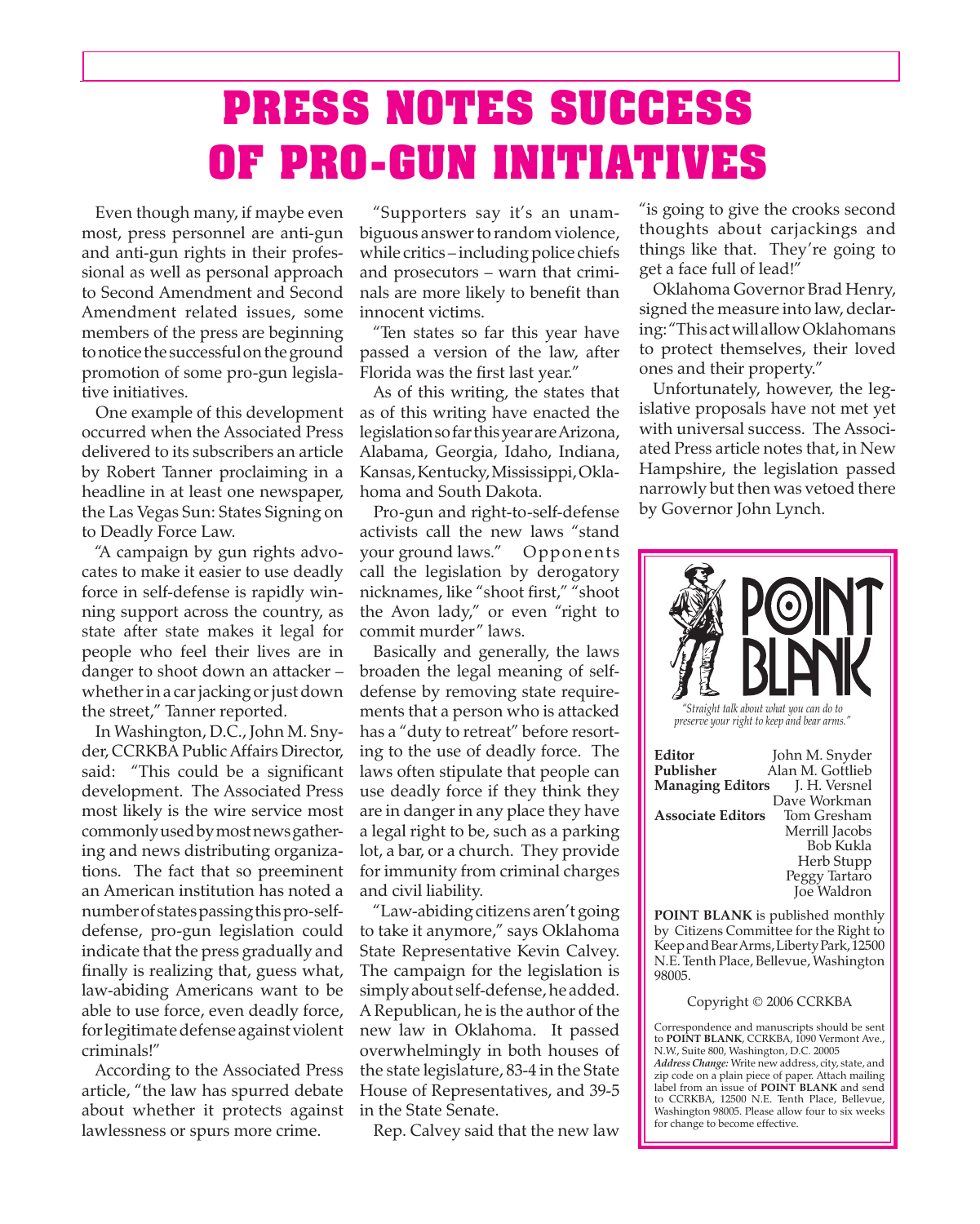# **PRESS NOTES SUCCESS OF PRO-GUN INITIATIVES**

 Even though many, if maybe even most, press personnel are anti-gun and anti-gun rights in their professional as well as personal approach to Second Amendment and Second Amendment related issues, some members of the press are beginning to notice the successful on the ground promotion of some pro-gun legislative initiatives.

 One example of this development occurred when the Associated Press delivered to its subscribers an article by Robert Tanner proclaiming in a headline in at least one newspaper, the Las Vegas Sun: States Signing on to Deadly Force Law.

 "A campaign by gun rights advocates to make it easier to use deadly force in self-defense is rapidly winning support across the country, as state after state makes it legal for people who feel their lives are in danger to shoot down an attacker – whether in a car jacking or just down the street," Tanner reported.

 In Washington, D.C., John M. Snyder, CCRKBA Public Affairs Director, said: "This could be a significant development. The Associated Press most likely is the wire service most commonlyusedbymostnewsgathering and news distributing organizations. The fact that so preeminent an American institution has noted a number of states passing this pro-selfdefense, pro-gun legislation could indicate that the press gradually and finally is realizing that, guess what, law-abiding Americans want to be able to use force, even deadly force, forlegitimatedefenseagainstviolent criminals!"

 According to the Associated Press article, "the law has spurred debate about whether it protects against lawlessness or spurs more crime.

 "Supporters say it's an unambiguous answer to random violence, while critics – including police chiefs and prosecutors – warn that criminals are more likely to benefit than innocent victims.

 "Ten states so far this year have passed a version of the law, after Florida was the first last year."

 As of this writing, the states that as of this writing have enacted the legislationsofarthisyearareArizona, Alabama, Georgia, Idaho, Indiana, Kansas, Kentucky, Mississippi, Oklahoma and South Dakota.

 Pro-gun and right-to-self-defense activists call the new laws "stand your ground laws." Opponents call the legislation by derogatory nicknames, like "shoot first," "shoot the Avon lady," or even "right to commit murder" laws.

 Basically and generally, the laws broaden the legal meaning of selfdefense by removing state requirements that a person who is attacked has a "duty to retreat" before resorting to the use of deadly force. The laws often stipulate that people can use deadly force if they think they are in danger in any place they have a legal right to be, such as a parking lot, a bar, or a church. They provide for immunity from criminal charges and civil liability.

 "Law-abiding citizens aren't going to take it anymore," says Oklahoma State Representative Kevin Calvey. The campaign for the legislation is simply about self-defense, he added. A Republican, he is the author of the new law in Oklahoma. It passed overwhelmingly in both houses of the state legislature, 83-4 in the State House of Representatives, and 39-5 in the State Senate.

 Rep. Calvey said that the new law

"is going to give the crooks second thoughts about carjackings and things like that. They're going to get a face full of lead!"

 Oklahoma Governor Brad Henry, signed the measure into law, declaring: "ThisactwillallowOklahomans to protect themselves, their loved ones and their property."

 Unfortunately, however, the legislative proposals have not met yet with universal success. The Associated Press article notes that, in New Hampshire, the legislation passed narrowly but then was vetoed there by Governor John Lynch.



*preserve your right to keep and bear arms."*

**Editor** John M. Snyder **Publisher** Alan M. Gottlieb **Managing Editors** J. H. Versnel Dave Workman **Associate Editors** Merrill Jacobs Bob Kukla Herb Stupp Peggy Tartaro Joe Waldron

**POINT BLANK** is published monthly by Citizens Committee for the Right to Keep and Bear Arms, Liberty Park, 12500 N.E. Tenth Place, Bellevue, Washington 98005.

#### Copyright © 2006 CCRKBA

Correspondence and manuscripts should be sent to **POINT BLANK**, CCRKBA, 1090 Vermont Ave., N.W., Suite 800, Washington, D.C. 20005 *Address Change:* Write new address, city, state, and zip code on a plain piece of paper. Attach mailing label from an issue of **POINT BLANK** and send to CCRKBA, 12500 N.E. Tenth Place, Bellevue, Washington 98005. Please allow four to six weeks for change to become effective.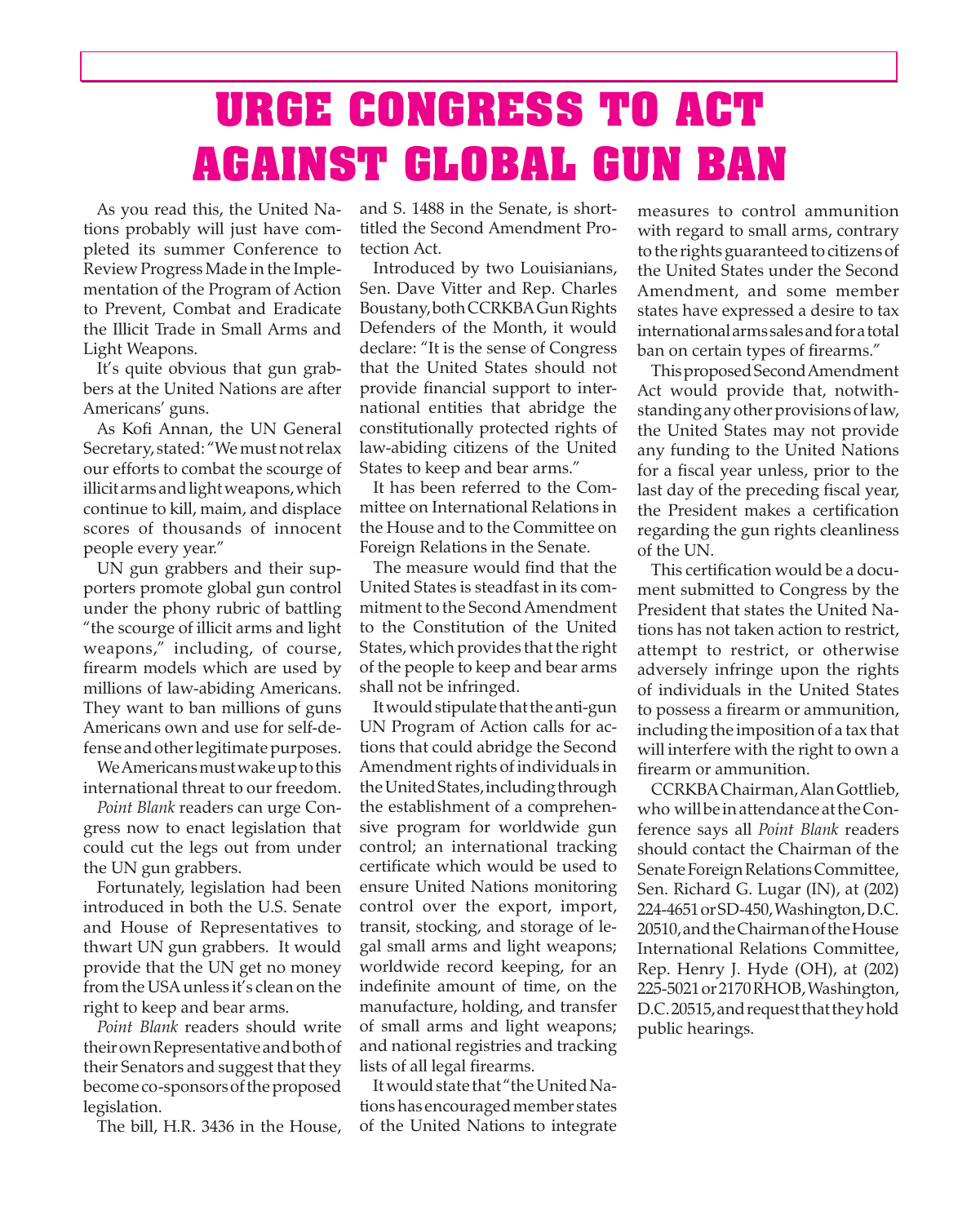### **URGE CONGRESS TO ACT AGAINST GLOBAL GUN BAN**

 As you read this, the United Nations probably will just have completed its summer Conference to Review ProgressMade in the Implementation of the Program of Action to Prevent, Combat and Eradicate the Illicit Trade in Small Arms and Light Weapons.

 It's quite obvious that gun grabbers at the United Nations are after Americans' guns.

 As Kofi Annan, the UN General Secretary, stated: "We must not relax our efforts to combat the scourge of illicit arms and light weapons, which continue to kill, maim, and displace scores of thousands of innocent people every year."

 UN gun grabbers and their supporters promote global gun control under the phony rubric of battling "the scourge of illicit arms and light weapons," including, of course, firearm models which are used by millions of law-abiding Americans. They want to ban millions of guns Americans own and use for self-defense and other legitimate purposes.

We Americans must wake up to this international threat to our freedom.

*Point Blank* readers can urge Congress now to enact legislation that could cut the legs out from under the UN gun grabbers.

 Fortunately, legislation had been introduced in both the U.S. Senate and House of Representatives to thwart UN gun grabbers. It would provide that the UN get no money from the USA unless it's clean on the right to keep and bear arms.

*Point Blank* readers should write theirownRepresentativeandbothof their Senators and suggest that they becomeco-sponsorsoftheproposed legislation.

 The bill, H.R. 3436 in the House,

and S. 1488 in the Senate, is shorttitled the Second Amendment Protection Act.

 Introduced by two Louisianians, Sen. Dave Vitter and Rep. Charles Boustany,bothCCRKBAGunRights Defenders of the Month, it would declare: "It is the sense of Congress that the United States should not provide financial support to international entities that abridge the constitutionally protected rights of law-abiding citizens of the United States to keep and bear arms."

 It has been referred to the Committee on International Relations in the House and to the Committee on Foreign Relations in the Senate.

 The measure would find that the United States is steadfast in its commitment to the Second Amendment to the Constitution of the United States, which provides that the right of the people to keep and bear arms shall not be infringed.

It would stipulate that the anti-gun UN Program of Action calls for actions that could abridge the Second Amendment rights of individuals in the United States, including through the establishment of a comprehensive program for worldwide gun control; an international tracking certificate which would be used to ensure United Nations monitoring control over the export, import, transit, stocking, and storage of legal small arms and light weapons; worldwide record keeping, for an indefinite amount of time, on the manufacture, holding, and transfer of small arms and light weapons; and national registries and tracking lists of all legal firearms.

It would state that "the United Nationshas encouragedmember states of the United Nations to integrate measures to control ammunition with regard to small arms, contrary to the rights guaranteed to citizens of the United States under the Second Amendment, and some member states have expressed a desire to tax internationalarms salesandforatotal ban on certain types of firearms."

 ThisproposedSecondAmendment Act would provide that, notwithstanding any other provisions of law, the United States may not provide any funding to the United Nations for a fiscal year unless, prior to the last day of the preceding fiscal year, the President makes a certification regarding the gun rights cleanliness of the UN.

 This certification would be a document submitted to Congress by the President that states the United Nations has not taken action to restrict, attempt to restrict, or otherwise adversely infringe upon the rights of individuals in the United States to possess a firearm or ammunition, including the imposition of a tax that will interfere with the right to own a firearm or ammunition.

 CCRKBAChairman,AlanGottlieb, who willbeinattendanceattheConference says all *Point Blank* readers should contact the Chairman of the Senate Foreign Relations Committee, Sen. Richard G. Lugar (IN), at (202) 224-4651 or SD-450, Washington, D.C. 20510,andtheChairmanoftheHouse International Relations Committee, Rep. Henry J. Hyde (OH), at (202) 225-5021or2170RHOB,Washington, D.C.20515,andrequestthattheyhold public hearings.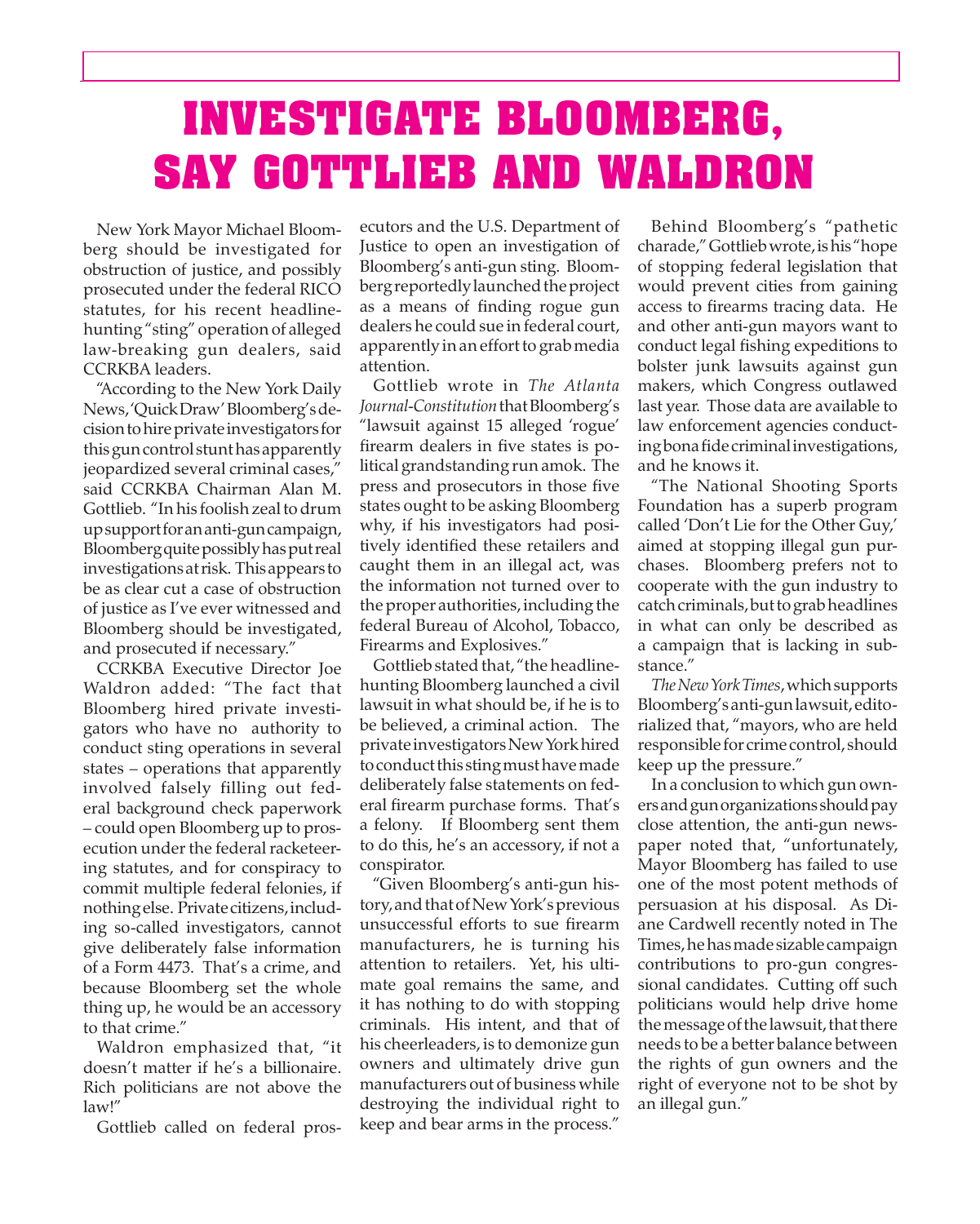## **INVESTIGATE BLOOMBERG, SAY GOTTLIEB AND WALDRON**

 New York Mayor Michael Bloomberg should be investigated for obstruction of justice, and possibly prosecuted under the federal RICO statutes, for his recent headlinehunting "sting" operation of alleged law-breaking gun dealers, said CCRKBA leaders.

 "According to the New York Daily News,'QuickDraw'Bloomberg'sdecisiontohireprivateinvestigators for this gun control stunt has apparently jeopardized several criminal cases," said CCRKBA Chairman Alan M. Gottlieb. "In his foolish zeal to drum upsupportforananti-guncampaign, Bloomberg quite possibly has put real investigationsatrisk. Thisappears to be as clear cut a case of obstruction of justice as I've ever witnessed and Bloomberg should be investigated, and prosecuted if necessary."

 CCRKBA Executive Director Joe Waldron added: "The fact that Bloomberg hired private investigators who have no authority to conduct sting operations in several states – operations that apparently involved falsely filling out federal background check paperwork – could open Bloomberg up to prosecution under the federal racketeering statutes, and for conspiracy to commit multiple federal felonies, if nothingelse. Privatecitizens,including so-called investigators, cannot give deliberately false information of a Form 4473. That's a crime, and because Bloomberg set the whole thing up, he would be an accessory to that crime."

 Waldron emphasized that, "it doesn't matter if he's a billionaire. Rich politicians are not above the law!"

 Gottlieb called on federal pros-

ecutors and the U.S. Department of Justice to open an investigation of Bloomberg's anti-gun sting. Bloomberg reportedly launched the project as a means of finding rogue gun dealers he could sue in federal court, apparently in an effort to grab media attention.

 Gottlieb wrote in *The Atlanta Journal-Constitution*thatBloomberg's "lawsuit against 15 alleged 'rogue' firearm dealers in five states is political grandstanding run amok. The press and prosecutors in those five states ought to be asking Bloomberg why, if his investigators had positively identified these retailers and caught them in an illegal act, was the information not turned over to the proper authorities, including the federal Bureau of Alcohol, Tobacco, Firearms and Explosives."

Gottlieb stated that, "the headlinehunting Bloomberg launched a civil lawsuit in what should be, if he is to be believed, a criminal action. The private investigators New York hired to conduct this sting must have made deliberately false statements on federal firearm purchase forms. That's a felony. If Bloomberg sent them to do this, he's an accessory, if not a conspirator.

 "Given Bloomberg's anti-gun history, and that of New York's previous unsuccessful efforts to sue firearm manufacturers, he is turning his attention to retailers. Yet, his ultimate goal remains the same, and it has nothing to do with stopping criminals. His intent, and that of his cheerleaders, is to demonize gun owners and ultimately drive gun manufacturers out of business while destroying the individual right to keep and bear arms in the process."

 Behind Bloomberg's "pathetic charade,"Gottliebwrote,ishis "hope of stopping federal legislation that would prevent cities from gaining access to firearms tracing data. He and other anti-gun mayors want to conduct legal fishing expeditions to bolster junk lawsuits against gun makers, which Congress outlawed last year. Those data are available to law enforcement agencies conductingbonafidecriminalinvestigations, and he knows it.

 "The National Shooting Sports Foundation has a superb program called 'Don't Lie for the Other Guy,' aimed at stopping illegal gun purchases. Bloomberg prefers not to cooperate with the gun industry to catch criminals, but to grab headlines in what can only be described as a campaign that is lacking in substance."

*The New York Times*,whichsupports Bloomberg'santi-gunlawsuit,editorialized that, "mayors, who are held responsible for crime control, should keep up the pressure."

 In a conclusion to which gun owners and gun organizations should pay close attention, the anti-gun newspaper noted that, "unfortunately, Mayor Bloomberg has failed to use one of the most potent methods of persuasion at his disposal. As Diane Cardwell recently noted in The Times,hehasmadesizablecampaign contributions to pro-gun congressional candidates. Cutting off such politicians would help drive home the message of the lawsuit, that there needs to be a better balance between the rights of gun owners and the right of everyone not to be shot by an illegal gun."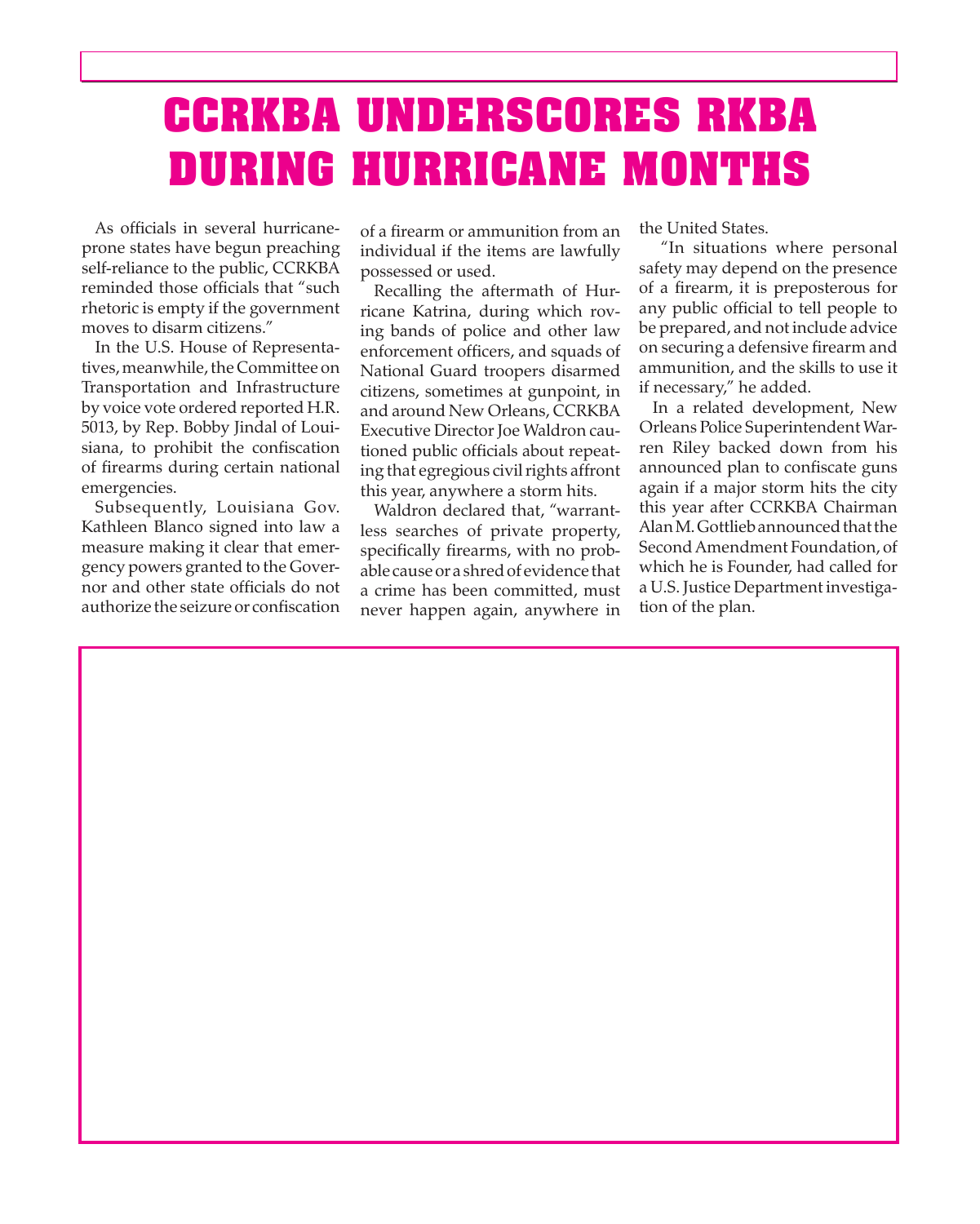## **CCRKBA UNDERSCORES RKBA DURING HURRICANE MONTHS**

 As officials in several hurricaneprone states have begun preaching self-reliance to the public, CCRKBA reminded those officials that "such rhetoric is empty if the government moves to disarm citizens."

 In the U.S. House of Representatives, meanwhile, the Committee on Transportation and Infrastructure by voice vote ordered reported H.R. 5013, by Rep. Bobby Jindal of Louisiana, to prohibit the confiscation of firearms during certain national emergencies.

 Subsequently, Louisiana Gov. Kathleen Blanco signed into law a measure making it clear that emergency powers granted to the Governor and other state officials do not authorize the seizure or confiscation of a firearm or ammunition from an individual if the items are lawfully possessed or used.

 Recalling the aftermath of Hurricane Katrina, during which roving bands of police and other law enforcement officers, and squads of National Guard troopers disarmed citizens, sometimes at gunpoint, in and around New Orleans, CCRKBA Executive Director Joe Waldron cautioned public officials about repeating that egregious civil rights affront this year, anywhere a storm hits.

 Waldron declared that, "warrantless searches of private property, specifically firearms, with no probable causeor a shredof evidence that a crime has been committed, must never happen again, anywhere in the United States.

"In situations where personal safety may depend on the presence of a firearm, it is preposterous for any public official to tell people to be prepared, and not include advice on securing a defensive firearm and ammunition, and the skills to use it if necessary," he added.

 this year after CCRKBA Chairman In a related development, New Orleans Police Superintendent Warren Riley backed down from his announced plan to confiscate guns again if a major storm hits the city Alan M. Gottlieb announced that the SecondAmendment Foundation, of which he is Founder, had called for a U.S. Justice Department investigation of the plan.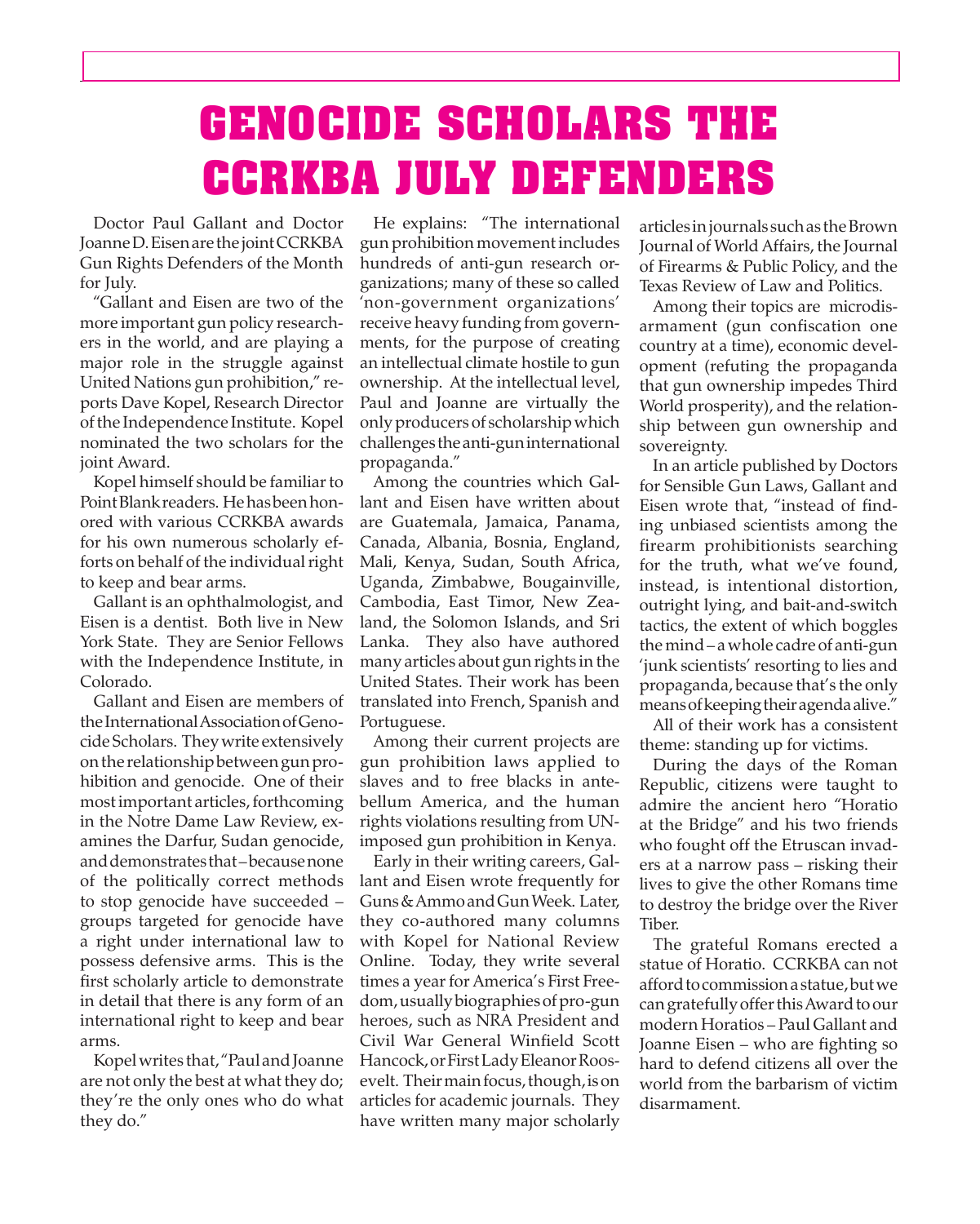# **GENOCIDE SCHOLARS THE CCRKBA JULY DEFENDERS**

 Doctor Paul Gallant and Doctor JoanneD.EisenarethejointCCRKBA Gun Rights Defenders of the Month for July.

 "Gallant and Eisen are two of the more important gun policy researchers in the world, and are playing a major role in the struggle against United Nations gun prohibition," reports Dave Kopel, Research Director ofthe Independence Institute. Kopel nominated the two scholars for the joint Award.

Kopel himself should be familiar to Point Blank readers. He has been honored with various CCRKBA awards for his own numerous scholarly efforts on behalf of the individual right to keep and bear arms.

 Gallant is an ophthalmologist, and Eisen is a dentist. Both live in New York State. They are Senior Fellows with the Independence Institute, in Colorado.

 Gallant and Eisen are members of theInternationalAssociationofGenocide Scholars. They write extensively ontherelationshipbetweengunprohibition and genocide. One of their most important articles, forthcoming in the Notre Dame Law Review, examines the Darfur, Sudan genocide, and demonstrates that–because none of the politically correct methods to stop genocide have succeeded – groups targeted for genocide have a right under international law to possess defensive arms. This is the first scholarly article to demonstrate in detail that there is any form of an international right to keep and bear arms.

 Kopelwrites that, "Paul andJoanne are not only the best at what they do; they're the only ones who do what they do."

 He explains: "The international gunprohibition movementincludes hundreds of anti-gun research organizations; many of these so called 'non-government organizations' receive heavy funding from governments, for the purpose of creating an intellectual climate hostile to gun ownership. At the intellectual level, Paul and Joanne are virtually the onlyproducersof scholarshipwhich challenges theanti-guninternational propaganda."

 Among the countries which Gallant and Eisen have written about are Guatemala, Jamaica, Panama, Canada, Albania, Bosnia, England, Mali, Kenya, Sudan, South Africa, Uganda, Zimbabwe, Bougainville, Cambodia, East Timor, New Zealand, the Solomon Islands, and Sri Lanka. They also have authored many articles about gun rights in the United States. Their work has been translated into French, Spanish and Portuguese.

 Among their current projects are gun prohibition laws applied to slaves and to free blacks in antebellum America, and the human rights violations resulting from UNimposed gun prohibition in Kenya.

 Early in their writing careers, Gallant and Eisen wrote frequently for Guns&AmmoandGunWeek. Later, they co-authored many columns with Kopel for National Review Online. Today, they write several times a year for America's First Freedom,usuallybiographiesofpro-gun heroes, such as NRA President and Civil War General Winfield Scott Hancock, or First Lady Eleanor Roosevelt. Their main focus, though, is on articles for academic journals. They have written many major scholarly

articles injournals suchas theBrown Journal of World Affairs, the Journal of Firearms & Public Policy, and the Texas Review of Law and Politics.

 Among their topics are microdisarmament (gun confiscation one country at a time), economic development (refuting the propaganda that gun ownership impedes Third World prosperity), and the relationship between gun ownership and sovereignty.

 In an article published by Doctors for Sensible Gun Laws, Gallant and Eisen wrote that, "instead of finding unbiased scientists among the firearm prohibitionists searching for the truth, what we've found, instead, is intentional distortion, outright lying, and bait-and-switch tactics, the extent of which boggles themind– awhole cadre of anti-gun 'junk scientists' resorting to lies and propaganda, because that's the only meansofkeepingtheiragendaalive."

 All of their work has a consistent theme: standing up for victims.

 During the days of the Roman Republic, citizens were taught to admire the ancient hero "Horatio at the Bridge" and his two friends who fought off the Etruscan invaders at a narrow pass – risking their lives to give the other Romans time to destroy the bridge over the River Tiber.

 The grateful Romans erected a statue of Horatio. CCRKBA can not afford to commission a statue, but we can gratefully offer this Award to our modern Horatios – Paul Gallant and Joanne Eisen – who are fighting so hard to defend citizens all over the world from the barbarism of victim disarmament.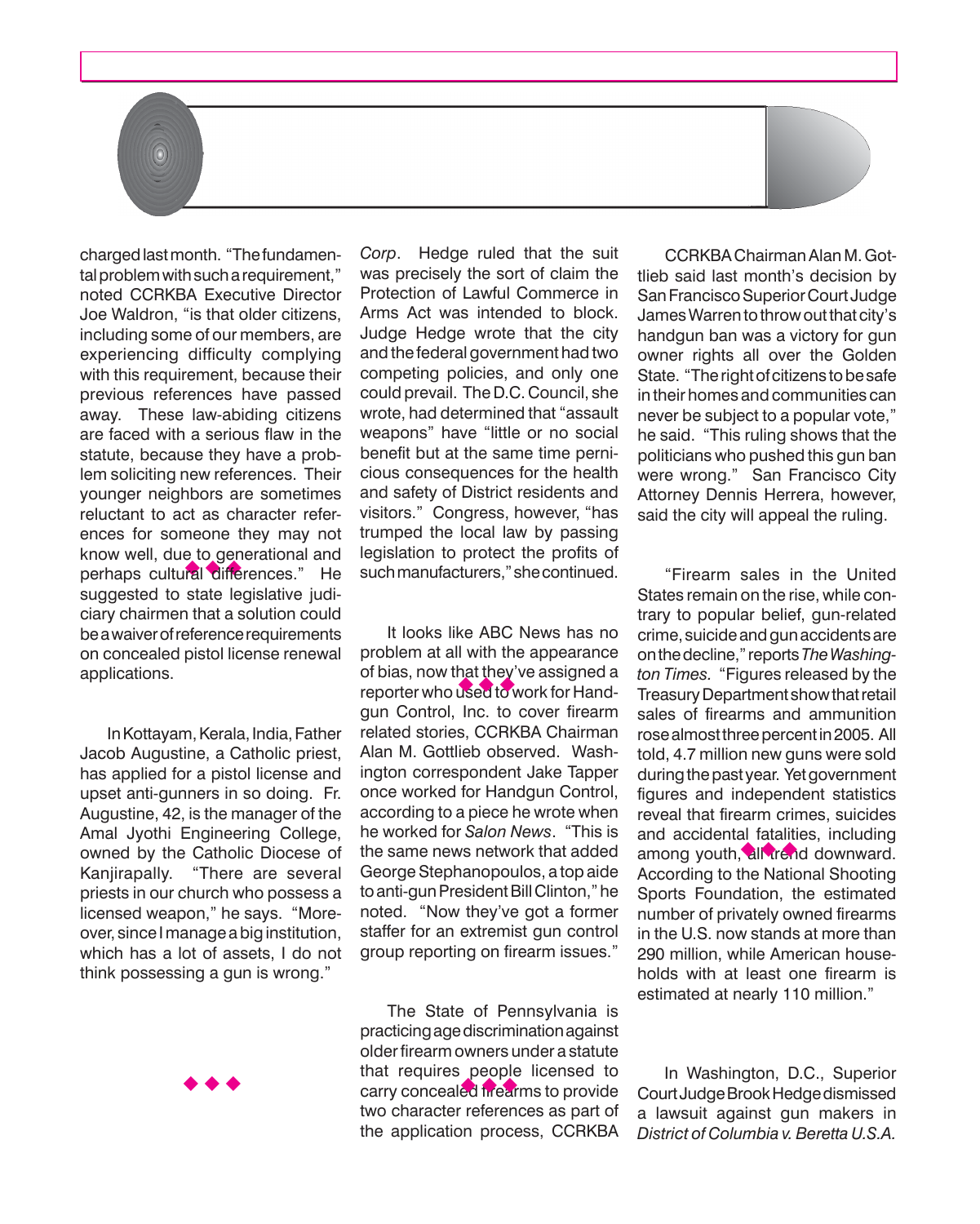chargedlastmonth. "Thefundamenknow well, que to generational and<br>perhaps cultural differences." He tal problem with such a requirement," noted CCRKBA Executive Director Joe Waldron, "is that older citizens, including some of our members, are experiencing difficulty complying with this requirement, because their previous references have passed away. These law-abiding citizens are faced with a serious flaw in the statute, because they have a problem soliciting new references. Their younger neighbors are sometimes reluctant to act as character references for someone they may not know well, due to generational and suggested to state legislative judiciary chairmen that a solution could beawaiverofreferencerequirements on concealed pistol license renewal applications.

 $\left( 0\right)$ 

In Kottayam, Kerala, India, Father Jacob Augustine, a Catholic priest, has applied for a pistol license and upset anti-gunners in so doing. Fr. Augustine, 42, is the manager of the Amal Jyothi Engineering College, owned by the Catholic Diocese of Kanjirapally. "There are several priests in our church who possess a licensed weapon," he says. "Moreover, since Imanage abiginstitution, which has a lot of assets, I do not think possessing a gun is wrong."



*Corp*. Hedge ruled that the suit was precisely the sort of claim the Protection of Lawful Commerce in Arms Act was intended to block. Judge Hedge wrote that the city and the federal government had two competing policies, and only one could prevail. The D.C. Council, she wrote, had determined that "assault weapons" have "little or no social benefit but at the same time pernicious consequences for the health and safety of District residents and visitors." Congress, however, "has trumped the local law by passing legislation to protect the profits of suchmanufacturers,"shecontinued.

 It looks like ABC News has no problem at all with the appearance of bias, now that they've assigned a of bias, now that they've assigned a<br>reporter who used to work for Handgun Control, Inc. to cover firearm related stories, CCRKBA Chairman Alan M. Gottlieb observed. Washington correspondent Jake Tapper once worked for Handgun Control, according to a piece he wrote when he worked for *Salon News*. "This is the same news network that added George Stephanopoulos, a top aide to anti-gun President Bill Clinton," he noted. "Now they've got a former staffer for an extremist gun control group reporting on firearm issues."

 The State of Pennsylvania is practicingagediscriminationagainst older firearm owners under a statute that requires people licensed to that requires people licensed to<br>carry concealed frearms to provide two character references as part of the application process, CCRKBA

 CCRKBAChairmanAlan M.Gottlieb said last month's decision by San Francisco Superior Court Judge James Warren to throw out that city's handgun ban was a victory for gun owner rights all over the Golden State. "The right of citizens to be safe in their homes and communities can never be subject to a popular vote," he said. "This ruling shows that the politicians who pushed this gun ban were wrong." San Francisco City Attorney Dennis Herrera, however, said the city will appeal the ruling.

 "Firearm sales in the United States remain on the rise, while contrary to popular belief, gun-related crime, suicideandgunaccidentsare onthedecline," reports*The Washington Times.* "Figures released by the TreasuryDepartmentshowthatretail sales of firearms and ammunition rose almost three percent in 2005. All told, 4.7 million new guns were sold during the past year. Yet government figures and independent statistics reveal that firearm crimes, suicides and accidental fatalities, including and accidental ratalities, including<br>among youth, all trend downward. According to the National Shooting Sports Foundation, the estimated number of privately owned firearms in the U.S. now stands at more than 290 million, while American households with at least one firearm is estimated at nearly 110 million."

 In Washington, D.C., Superior CourtJudgeBrookHedgedismissed a lawsuit against gun makers in *District of Columbia v. Beretta U.S.A.*